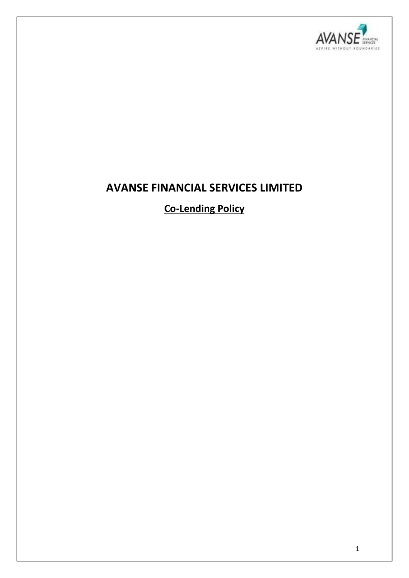

# **AVANSE FINANCIAL SERVICES LIMITED**

**Co-Lending Policy**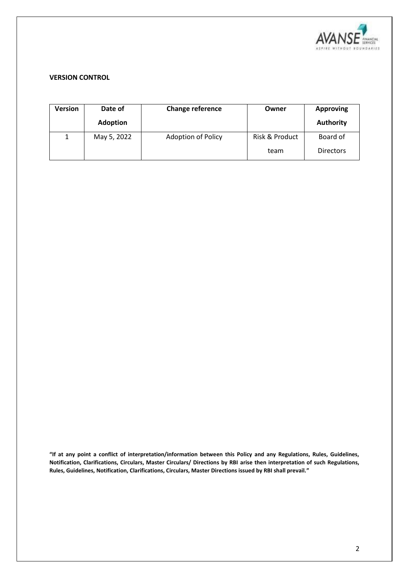

#### **VERSION CONTROL**

| Version | Date of<br><b>Adoption</b> | Change reference          | Owner                  | <b>Approving</b><br><b>Authority</b> |
|---------|----------------------------|---------------------------|------------------------|--------------------------------------|
| 1       | May 5, 2022                | <b>Adoption of Policy</b> | Risk & Product<br>team | Board of<br><b>Directors</b>         |

**"If at any point a conflict of interpretation/information between this Policy and any Regulations, Rules, Guidelines, Notification, Clarifications, Circulars, Master Circulars/ Directions by RBI arise then interpretation of such Regulations, Rules, Guidelines, Notification, Clarifications, Circulars, Master Directions issued by RBI shall prevail."**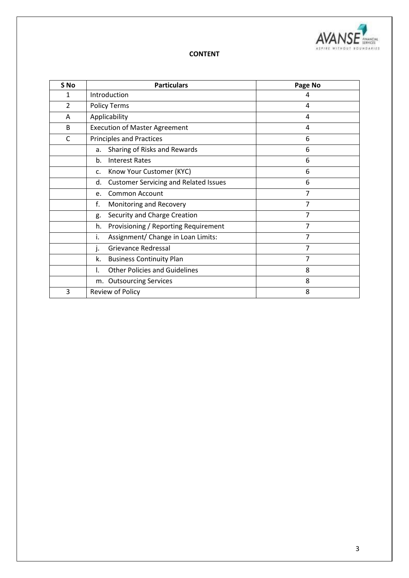

#### **CONTENT**

| S No           | <b>Particulars</b>                                 | Page No        |
|----------------|----------------------------------------------------|----------------|
| 1              | Introduction                                       | 4              |
| $\overline{2}$ | <b>Policy Terms</b>                                | 4              |
| A              | Applicability                                      | 4              |
| B              | <b>Execution of Master Agreement</b>               | 4              |
| C              | <b>Principles and Practices</b>                    | 6              |
|                | Sharing of Risks and Rewards<br>a.                 | 6              |
|                | <b>Interest Rates</b><br>b.                        | 6              |
|                | Know Your Customer (KYC)<br>c.                     | 6              |
|                | <b>Customer Servicing and Related Issues</b><br>d. | 6              |
|                | <b>Common Account</b><br>e.                        | 7              |
|                | f.<br>Monitoring and Recovery                      | $\overline{7}$ |
|                | Security and Charge Creation<br>g.                 | 7              |
|                | Provisioning / Reporting Requirement<br>h.         | 7              |
|                | i.<br>Assignment/ Change in Loan Limits:           | $\overline{7}$ |
|                | Grievance Redressal<br>j.                          | $\overline{7}$ |
|                | k.<br><b>Business Continuity Plan</b>              | 7              |
|                | <b>Other Policies and Guidelines</b><br>ı.         | 8              |
|                | <b>Outsourcing Services</b><br>m.                  | 8              |
| 3              | Review of Policy                                   | 8              |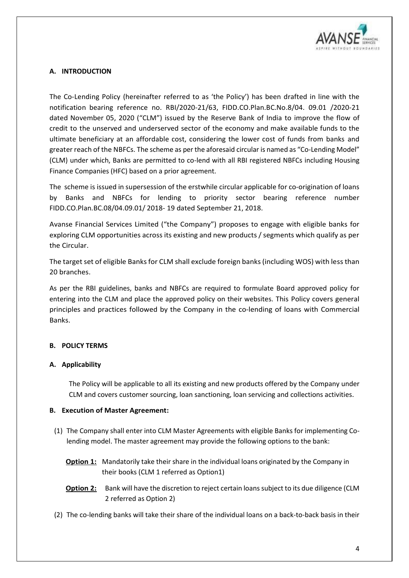

# **A. INTRODUCTION**

The Co-Lending Policy (hereinafter referred to as 'the Policy') has been drafted in line with the notification bearing reference no. RBI/2020-21/63, FIDD.CO.Plan.BC.No.8/04. 09.01 /2020-21 dated November 05, 2020 ("CLM") issued by the Reserve Bank of India to improve the flow of credit to the unserved and underserved sector of the economy and make available funds to the ultimate beneficiary at an affordable cost, considering the lower cost of funds from banks and greater reach of the NBFCs. The scheme as per the aforesaid circular is named as "Co-Lending Model" (CLM) under which, Banks are permitted to co-lend with all RBI registered NBFCs including Housing Finance Companies (HFC) based on a prior agreement.

The scheme is issued in supersession of the erstwhile circular applicable for co-origination of loans by Banks and NBFCs for lending to priority sector bearing reference number FIDD.CO.Plan.BC.08/04.09.01/ 2018- 19 dated September 21, 2018.

Avanse Financial Services Limited ("the Company") proposes to engage with eligible banks for exploring CLM opportunities across its existing and new products / segments which qualify as per the Circular.

The target set of eligible Banks for CLM shall exclude foreign banks (including WOS) with less than 20 branches.

As per the RBI guidelines, banks and NBFCs are required to formulate Board approved policy for entering into the CLM and place the approved policy on their websites. This Policy covers general principles and practices followed by the Company in the co-lending of loans with Commercial Banks.

# **B. POLICY TERMS**

# **A. Applicability**

The Policy will be applicable to all its existing and new products offered by the Company under CLM and covers customer sourcing, loan sanctioning, loan servicing and collections activities.

#### **B. Execution of Master Agreement:**

- (1) The Company shall enter into CLM Master Agreements with eligible Banks for implementing Colending model. The master agreement may provide the following options to the bank:
	- **Option 1:** Mandatorily take their share in the individual loans originated by the Company in their books (CLM 1 referred as Option1)
	- **Option 2:** Bank will have the discretion to reject certain loans subject to its due diligence (CLM 2 referred as Option 2)
- (2) The co-lending banks will take their share of the individual loans on a back-to-back basis in their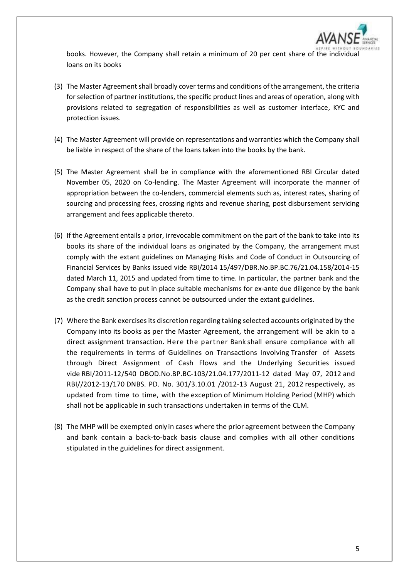

books. However, the Company shall retain a minimum of 20 per cent share of the individual loans on its books

- (3) The Master Agreement shall broadly cover terms and conditions of the arrangement, the criteria for selection of partner institutions, the specific product lines and areas of operation, along with provisions related to segregation of responsibilities as well as customer interface, KYC and protection issues.
- (4) The Master Agreement will provide on representations and warranties which the Company shall be liable in respect of the share of the loans taken into the books by the bank.
- (5) The Master Agreement shall be in compliance with the aforementioned RBI Circular dated November 05, 2020 on Co-lending. The Master Agreement will incorporate the manner of appropriation between the co-lenders, commercial elements such as, interest rates, sharing of sourcing and processing fees, crossing rights and revenue sharing, post disbursement servicing arrangement and fees applicable thereto.
- (6) If the Agreement entails a prior, irrevocable commitment on the part of the bank to take into its books its share of the individual loans as originated by the Company, the arrangement must comply with the extant guidelines on Managing Risks and Code of Conduct in Outsourcing of Financial Services by Banks issued vide RBI/2014 15/497/DBR.No.BP.BC.76/21.04.158/2014-15 dated March 11, 2015 and updated from time to time. In particular, the partner bank and the Company shall have to put in place suitable mechanisms for ex-ante due diligence by the bank as the credit sanction process cannot be outsourced under the extant guidelines.
- (7) Where the Bank exercisesits discretion regarding taking selected accounts originated by the Company into its books as per the Master Agreement, the arrangement will be akin to a direct assignment transaction. Here the partner Bank shall ensure compliance with all the requirements in terms of Guidelines on Transactions Involving Transfer of Assets through Direct Assignment of Cash Flows and the Underlying Securities issued vide RBI/2011-12/540 DBOD.No.BP.BC-103/21.04.177/2011-12 dated May 07, 2012 and RBI//2012-13/170 DNBS. PD. No. 301/3.10.01 /2012-13 August 21, 2012 respectively, as updated from time to time, with the exception of Minimum Holding Period (MHP) which shall not be applicable in such transactions undertaken in terms of the CLM.
- (8) The MHP will be exempted only in cases where the prior agreement between the Company and bank contain a back-to-back basis clause and complies with all other conditions stipulated in the guidelines for direct assignment.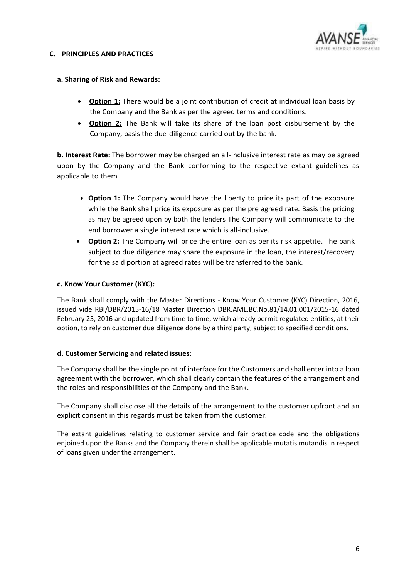

#### **C. PRINCIPLES AND PRACTICES**

# **a. Sharing of Risk and Rewards:**

- **Option 1:** There would be a joint contribution of credit at individual loan basis by the Company and the Bank as per the agreed terms and conditions.
- **Option 2:** The Bank will take its share of the loan post disbursement by the Company, basis the due-diligence carried out by the bank.

**b. Interest Rate:** The borrower may be charged an all-inclusive interest rate as may be agreed upon by the Company and the Bank conforming to the respective extant guidelines as applicable to them

- **Option 1:** The Company would have the liberty to price its part of the exposure while the Bank shall price its exposure as per the pre agreed rate. Basis the pricing as may be agreed upon by both the lenders The Company will communicate to the end borrower a single interest rate which is all-inclusive.
- **Option 2:** The Company will price the entire loan as per its risk appetite. The bank subject to due diligence may share the exposure in the loan, the interest/recovery for the said portion at agreed rates will be transferred to the bank.

#### **c. Know Your Customer (KYC):**

The Bank shall comply with the Master Directions - Know Your Customer (KYC) Direction, 2016, issued vide RBI/DBR/2015-16/18 Master Direction DBR.AML.BC.No.81/14.01.001/2015-16 dated February 25, 2016 and updated from time to time, which already permit regulated entities, at their option, to rely on customer due diligence done by a third party, subject to specified conditions.

#### **d. Customer Servicing and related issues**:

The Company shall be the single point of interface for the Customers and shall enter into a loan agreement with the borrower, which shall clearly contain the features of the arrangement and the roles and responsibilities of the Company and the Bank.

The Company shall disclose all the details of the arrangement to the customer upfront and an explicit consent in this regards must be taken from the customer.

The extant guidelines relating to customer service and fair practice code and the obligations enjoined upon the Banks and the Company therein shall be applicable mutatis mutandis in respect of loans given under the arrangement.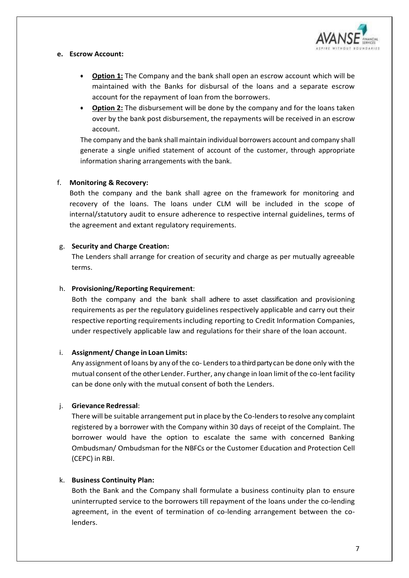

#### **e. Escrow Account:**

- **Option 1:** The Company and the bank shall open an escrow account which will be maintained with the Banks for disbursal of the loans and a separate escrow account for the repayment of loan from the borrowers.
- **Option 2:** The disbursement will be done by the company and for the loans taken over by the bank post disbursement, the repayments will be received in an escrow account.

The company and the bank shall maintain individual borrowers account and company shall generate a single unified statement of account of the customer, through appropriate information sharing arrangements with the bank.

#### f. **Monitoring & Recovery:**

Both the company and the bank shall agree on the framework for monitoring and recovery of the loans. The loans under CLM will be included in the scope of internal/statutory audit to ensure adherence to respective internal guidelines, terms of the agreement and extant regulatory requirements.

# g. **Security and Charge Creation:**

The Lenders shall arrange for creation of security and charge as per mutually agreeable terms.

# h. **Provisioning/Reporting Requirement**:

Both the company and the bank shall adhere to asset classification and provisioning requirements as per the regulatory guidelines respectively applicable and carry out their respective reporting requirements including reporting to Credit Information Companies, under respectively applicable law and regulations for their share of the loan account.

#### i. **Assignment/ Change in Loan Limits:**

Any assignment of loans by any of the co- Lenders to a third party can be done only with the mutual consent ofthe other Lender. Further, any change in loan limit of the co-lentfacility can be done only with the mutual consent of both the Lenders.

#### j. **Grievance Redressal**:

There will be suitable arrangement put in place by the Co-lenders to resolve any complaint registered by a borrower with the Company within 30 days of receipt of the Complaint. The borrower would have the option to escalate the same with concerned Banking Ombudsman/ Ombudsman for the NBFCs or the Customer Education and Protection Cell (CEPC) in RBI.

#### k. **Business Continuity Plan:**

Both the Bank and the Company shall formulate a business continuity plan to ensure uninterrupted service to the borrowers till repayment of the loans under the co-lending agreement, in the event of termination of co-lending arrangement between the colenders.